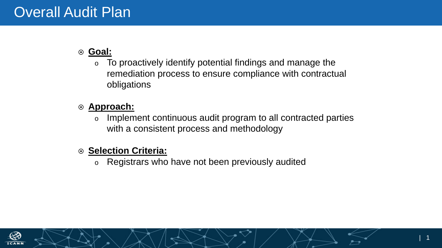## **Goal:**

o To proactively identify potential findings and manage the remediation process to ensure compliance with contractual obligations

## **Approach:**

o Implement continuous audit program to all contracted parties with a consistent process and methodology

### **Selection Criteria:**

o Registrars who have not been previously audited

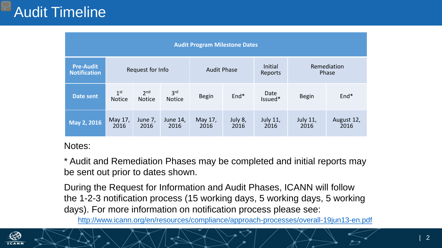| <b>Audit Program Milestone Dates</b>    |                                  |                                  |                                  |                    |                 |                           |                      |                    |
|-----------------------------------------|----------------------------------|----------------------------------|----------------------------------|--------------------|-----------------|---------------------------|----------------------|--------------------|
| <b>Pre-Audit</b><br><b>Notification</b> | Request for Info                 |                                  |                                  | <b>Audit Phase</b> |                 | <b>Initial</b><br>Reports | Remediation<br>Phase |                    |
| Date sent                               | 1 <sup>st</sup><br><b>Notice</b> | 2 <sub>nd</sub><br><b>Notice</b> | 3 <sup>rd</sup><br><b>Notice</b> | <b>Begin</b>       | End*            | Date<br>Issued*           | <b>Begin</b>         | End*               |
| May 2, 2016                             | May 17,<br>2016                  | June 7,<br>2016                  | June 14,<br>2016                 | May 17,<br>2016    | July 8,<br>2016 | <b>July 11,</b><br>2016   | July 11,<br>2016     | August 12,<br>2016 |

### Notes:

\* Audit and Remediation Phases may be completed and initial reports may be sent out prior to dates shown.

During the Request for Information and Audit Phases, ICANN will follow the 1-2-3 notification process (15 working days, 5 working days, 5 working days). For more information on notification process please see:

<http://www.icann.org/en/resources/compliance/approach-processes/overall-19jun13-en.pdf>

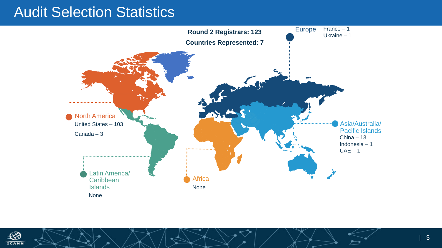## Audit Selection Statistics



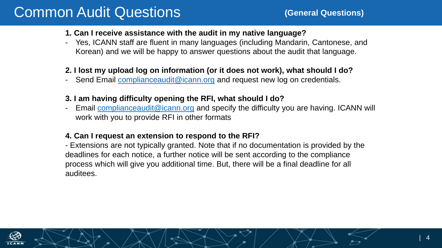# Common Audit Questions

#### **1. Can I receive assistance with the audit in my native language?**

Yes, ICANN staff are fluent in many languages (including Mandarin, Cantonese, and Korean) and we will be happy to answer questions about the audit that language.

#### **2. I lost my upload log on information (or it does not work), what should I do?**

- Send Email [complianceaudit@icann.org](mailto:complianceaudit@icann.org) and request new log on credentials.

#### **3. I am having difficulty opening the RFI, what should I do?**

Email [complianceaudit@icann.org](mailto:complianceaudit@icann.org) and specify the difficulty you are having. ICANN will work with you to provide RFI in other formats

#### **4. Can I request an extension to respond to the RFI?**

- Extensions are not typically granted. Note that if no documentation is provided by the deadlines for each notice, a further notice will be sent according to the compliance process which will give you additional time. But, there will be a final deadline for all auditees.